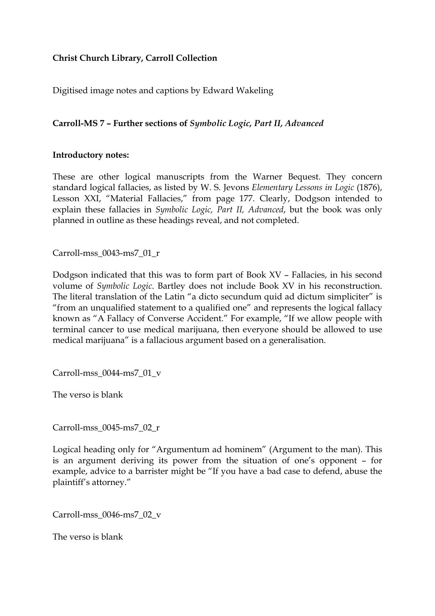## **Christ Church Library, Carroll Collection**

Digitised image notes and captions by Edward Wakeling

## **Carroll-MS 7 – Further sections of** *Symbolic Logic, Part II, Advanced*

## **Introductory notes:**

These are other logical manuscripts from the Warner Bequest. They concern standard logical fallacies, as listed by W. S. Jevons *Elementary Lessons in Logic* (1876), Lesson XXI, "Material Fallacies," from page 177. Clearly, Dodgson intended to explain these fallacies in *Symbolic Logic, Part II, Advanced*, but the book was only planned in outline as these headings reveal, and not completed.

Carroll-mss\_0043-ms7\_01\_r

Dodgson indicated that this was to form part of Book XV – Fallacies, in his second volume of *Symbolic Logic*. Bartley does not include Book XV in his reconstruction. The literal translation of the Latin "a dicto secundum quid ad dictum simpliciter" is "from an unqualified statement to a qualified one" and represents the logical fallacy known as "A Fallacy of Converse Accident." For example, "If we allow people with terminal cancer to use medical marijuana, then everyone should be allowed to use medical marijuana" is a fallacious argument based on a generalisation.

Carroll-mss\_0044-ms7\_01\_v

The verso is blank

Carroll-mss\_0045-ms7\_02\_r

Logical heading only for "Argumentum ad hominem" (Argument to the man). This is an argument deriving its power from the situation of one's opponent – for example, advice to a barrister might be "If you have a bad case to defend, abuse the plaintiff's attorney."

Carroll-mss\_0046-ms7\_02\_v

The verso is blank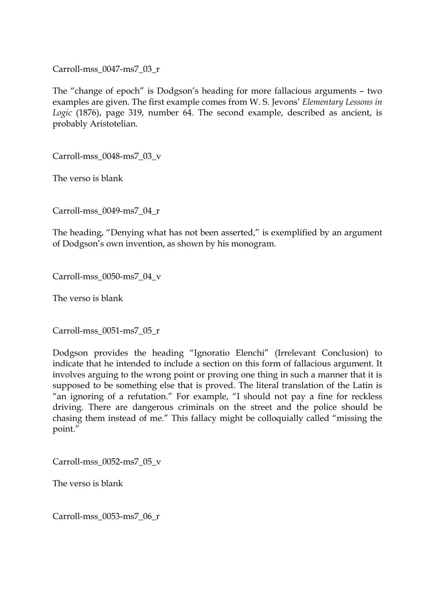Carroll-mss\_0047-ms7\_03\_r

The "change of epoch" is Dodgson's heading for more fallacious arguments – two examples are given. The first example comes from W. S. Jevons' *Elementary Lessons in Logic* (1876), page 319, number 64. The second example, described as ancient, is probably Aristotelian.

Carroll-mss\_0048-ms7\_03\_v

The verso is blank

Carroll-mss\_0049-ms7\_04\_r

The heading, "Denying what has not been asserted," is exemplified by an argument of Dodgson's own invention, as shown by his monogram.

Carroll-mss\_0050-ms7\_04\_v

The verso is blank

Carroll-mss\_0051-ms7\_05\_r

Dodgson provides the heading "Ignoratio Elenchi" (Irrelevant Conclusion) to indicate that he intended to include a section on this form of fallacious argument. It involves arguing to the wrong point or proving one thing in such a manner that it is supposed to be something else that is proved. The literal translation of the Latin is "an ignoring of a refutation." For example, "I should not pay a fine for reckless driving. There are dangerous criminals on the street and the police should be chasing them instead of me." This fallacy might be colloquially called "missing the point."

Carroll-mss\_0052-ms7\_05\_v

The verso is blank

Carroll-mss\_0053-ms7\_06\_r